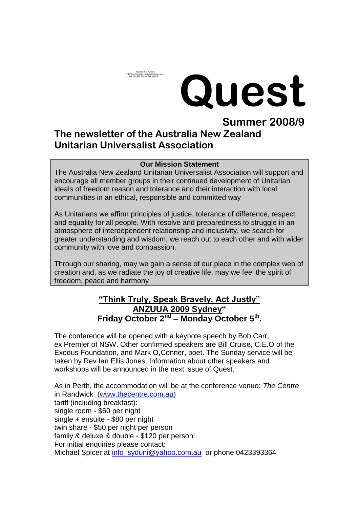# **Quest**

# **Summer 2008/9 The newsletter of the Australia New Zealand Unitarian Universalist Association**

Quick lime™ and a<br>TIFF (Uncompressed) decompressor<br>are needed to see this picture.

#### **Our Mission Statement**

The Australia New Zealand Unitarian Universalist Association will support and encourage all member groups in their continued development of Unitarian ideals of freedom reason and tolerance and their interaction with local communities in an ethical, responsible and committed way

As Unitarians we affirm principles of justice, tolerance of difference, respect and equality for all people. With resolve and preparedness to struggle in an atmosphere of interdependent relationship and inclusivity, we search for greater understanding and wisdom, we reach out to each other and with wider community with love and compassion.

Through our sharing, may we gain a sense of our place in the complex web of creation and, as we radiate the joy of creative life, may we feel the spirit of freedom, peace and harmony

### **"Think Truly, Speak Bravely, Act Justly" ANZUUA 2009 Sydney" Friday October 2nd – Monday October 5th .**

The conference will be opened with a keynote speech by Bob Carr, ex Premier of NSW. Other confirmed speakers are Bill Cruise, C.E.O of the Exodus Foundation, and Mark O,Conner, poet. The Sunday service will be taken by Rev Ian Ellis Jones. Information about other speakers and workshops will be announced in the next issue of Quest.

As in Perth, the accommodation will be at the conference venue: *The Centre*  in Randwick [\(www.thecentre.com.au\)](http://www.thecentre.com.au/) tariff (including breakfast): single room - \$60 per night single + ensuite - \$80 per night twin share - \$50 per night per person family & deluxe & double - \$120 per person For initial enquiries please contact: Michael Spicer at [info\\_syduni@yahoo.com.au](mailto:info_syduni@yahoo.com.au) or phone 0423393364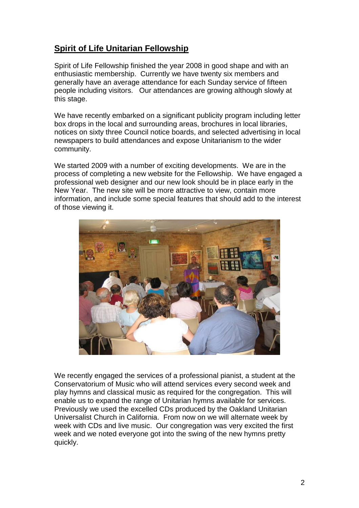## **Spirit of Life Unitarian Fellowship**

Spirit of Life Fellowship finished the year 2008 in good shape and with an enthusiastic membership. Currently we have twenty six members and generally have an average attendance for each Sunday service of fifteen people including visitors. Our attendances are growing although slowly at this stage.

We have recently embarked on a significant publicity program including letter box drops in the local and surrounding areas, brochures in local libraries, notices on sixty three Council notice boards, and selected advertising in local newspapers to build attendances and expose Unitarianism to the wider community.

We started 2009 with a number of exciting developments. We are in the process of completing a new website for the Fellowship. We have engaged a professional web designer and our new look should be in place early in the New Year. The new site will be more attractive to view, contain more information, and include some special features that should add to the interest of those viewing it.



We recently engaged the services of a professional pianist, a student at the Conservatorium of Music who will attend services every second week and play hymns and classical music as required for the congregation. This will enable us to expand the range of Unitarian hymns available for services. Previously we used the excelled CDs produced by the Oakland Unitarian Universalist Church in California. From now on we will alternate week by week with CDs and live music. Our congregation was very excited the first week and we noted everyone got into the swing of the new hymns pretty quickly.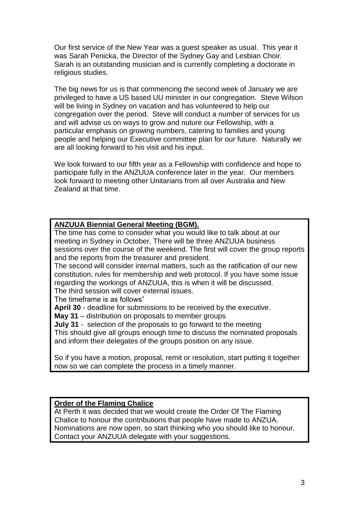Our first service of the New Year was a guest speaker as usual. This year it was Sarah Penicka, the Director of the Sydney Gay and Lesbian Choir. Sarah is an outstanding musician and is currently completing a doctorate in religious studies.

The big news for us is that commencing the second week of January we are privileged to have a US based UU minister in our congregation. Steve Wilson will be living in Sydney on vacation and has volunteered to help our congregation over the period. Steve will conduct a number of services for us and will advise us on ways to grow and nuture our Fellowship, with a particular emphasis on growing numbers, catering to families and young people and helping our Executive committee plan for our future. Naturally we are all looking forward to his visit and his input.

We look forward to our fifth year as a Fellowship with confidence and hope to participate fully in the ANZUUA conference later in the year. Our members look forward to meeting other Unitarians from all over Australia and New Zealand at that time.

#### **ANZUUA Biennial General Meeting (BGM).**

The time has come to consider what you would like to talk about at our meeting in Sydney in October. There will be three ANZUUA business sessions over the course of the weekend. The first will cover the group reports and the reports from the treasurer and president.

The second will consider internal matters, such as the ratification of our new constitution, rules for membership and web protocol. If you have some issue regarding the workings of ANZUUA, this is when it will be discussed.

The third session will cover external issues.

The timeframe is as follows"

**April 30** - deadline for submissions to be received by the executive.

**May 31** – distribution on proposals to member groups

**July 31** - selection of the proposals to go forward to the meeting

This should give all groups enough time to discuss the nominated proposals and inform their delegates of the groups position on any issue.

So if you have a motion, proposal, remit or resolution, start putting it together now so we can complete the process in a timely manner.

#### **Order of the Flaming Chalice**

At Perth it was decided that we would create the Order Of The Flaming Chalice to honour the contributions that people have made to ANZUA. Nominations are now open, so start thinking who you should like to honour. Contact your ANZUUA delegate with your suggestions.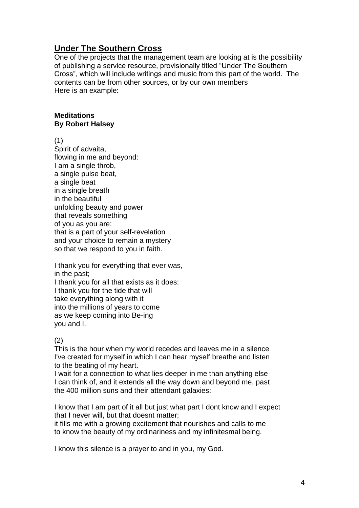## **Under The Southern Cross**

One of the projects that the management team are looking at is the possibility of publishing a service resource, provisionally titled "Under The Southern Cross", which will include writings and music from this part of the world. The contents can be from other sources, or by our own members Here is an example:

#### **Meditations By Robert Halsey**

(1)

Spirit of advaita, flowing in me and beyond: I am a single throb, a single pulse beat, a single beat in a single breath in the beautiful unfolding beauty and power that reveals something of you as you are: that is a part of your self-revelation and your choice to remain a mystery so that we respond to you in faith.

I thank you for everything that ever was, in the past;

I thank you for all that exists as it does: I thank you for the tide that will take everything along with it into the millions of years to come as we keep coming into Be-ing you and I.

#### (2)

This is the hour when my world recedes and leaves me in a silence I've created for myself in which I can hear myself breathe and listen to the beating of my heart.

I wait for a connection to what lies deeper in me than anything else I can think of, and it extends all the way down and beyond me, past the 400 million suns and their attendant galaxies:

I know that I am part of it all but just what part I dont know and I expect that I never will, but that doesnt matter;

it fills me with a growing excitement that nourishes and calls to me to know the beauty of my ordinariness and my infinitesmal being.

I know this silence is a prayer to and in you, my God.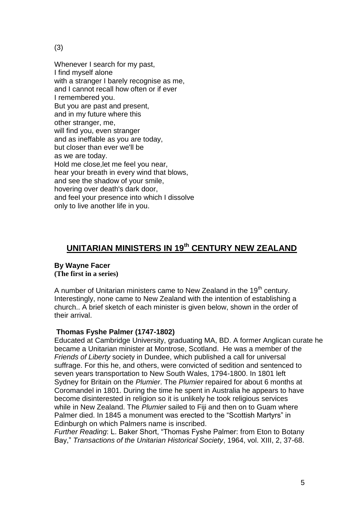(3)

Whenever I search for my past, I find myself alone with a stranger I barely recognise as me, and I cannot recall how often or if ever I remembered you. But you are past and present, and in my future where this other stranger, me, will find you, even stranger and as ineffable as you are today, but closer than ever we'll be as we are today. Hold me close,let me feel you near, hear your breath in every wind that blows, and see the shadow of your smile, hovering over death's dark door, and feel your presence into which I dissolve only to live another life in you.

# **UNITARIAN MINISTERS IN 19th CENTURY NEW ZEALAND**

#### **By Wayne Facer (The first in a series)**

A number of Unitarian ministers came to New Zealand in the 19<sup>th</sup> century. Interestingly, none came to New Zealand with the intention of establishing a church.. A brief sketch of each minister is given below, shown in the order of their arrival.

#### **Thomas Fyshe Palmer (1747-1802)**

Educated at Cambridge University, graduating MA, BD. A former Anglican curate he became a Unitarian minister at Montrose, Scotland. He was a member of the *Friends of Liberty* society in Dundee, which published a call for universal suffrage. For this he, and others, were convicted of sedition and sentenced to seven years transportation to New South Wales, 1794-1800. In 1801 left Sydney for Britain on the *Plumier*. The *Plumier* repaired for about 6 months at Coromandel in 1801. During the time he spent in Australia he appears to have become disinterested in religion so it is unlikely he took religious services while in New Zealand. The *Plumier* sailed to Fiji and then on to Guam where Palmer died. In 1845 a monument was erected to the "Scottish Martyrs" in Edinburgh on which Palmers name is inscribed.

*Further Reading*: L. Baker Short, "Thomas Fyshe Palmer: from Eton to Botany Bay," *Transactions of the Unitarian Historical Society*, 1964, vol. XIII, 2, 37-68.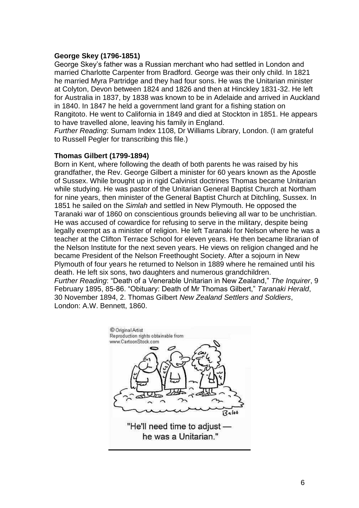#### **George Skey (1796-1851)**

George Skey's father was a Russian merchant who had settled in London and married Charlotte Carpenter from Bradford. George was their only child. In 1821 he married Myra Partridge and they had four sons. He was the Unitarian minister at Colyton, Devon between 1824 and 1826 and then at Hinckley 1831-32. He left for Australia in 1837, by 1838 was known to be in Adelaide and arrived in Auckland in 1840. In 1847 he held a government land grant for a fishing station on Rangitoto. He went to California in 1849 and died at Stockton in 1851. He appears to have travelled alone, leaving his family in England.

*Further Reading*: Surnam Index 1108, Dr Williams Library, London. (I am grateful to Russell Pegler for transcribing this file.)

#### **Thomas Gilbert (1799-1894)**

Born in Kent, where following the death of both parents he was raised by his grandfather, the Rev. George Gilbert a minister for 60 years known as the Apostle of Sussex. While brought up in rigid Calvinist doctrines Thomas became Unitarian while studying. He was pastor of the Unitarian General Baptist Church at Northam for nine years, then minister of the General Baptist Church at Ditchling, Sussex. In 1851 he sailed on the *Simlah* and settled in New Plymouth. He opposed the Taranaki war of 1860 on conscientious grounds believing all war to be unchristian. He was accused of cowardice for refusing to serve in the military, despite being legally exempt as a minister of religion. He left Taranaki for Nelson where he was a teacher at the Clifton Terrace School for eleven years. He then became librarian of the Nelson Institute for the next seven years. He views on religion changed and he became President of the Nelson Freethought Society. After a sojourn in New Plymouth of four years he returned to Nelson in 1889 where he remained until his death. He left six sons, two daughters and numerous grandchildren. *Further Reading*: "Death of a Venerable Unitarian in New Zealand," *The Inquirer*, 9 February 1895, 85-86. "Obituary: Death of Mr Thomas Gilbert," *Taranaki Herald*, 30 November 1894, 2. Thomas Gilbert *New Zealand Settlers and Soldiers*, London: A.W. Bennett, 1860.